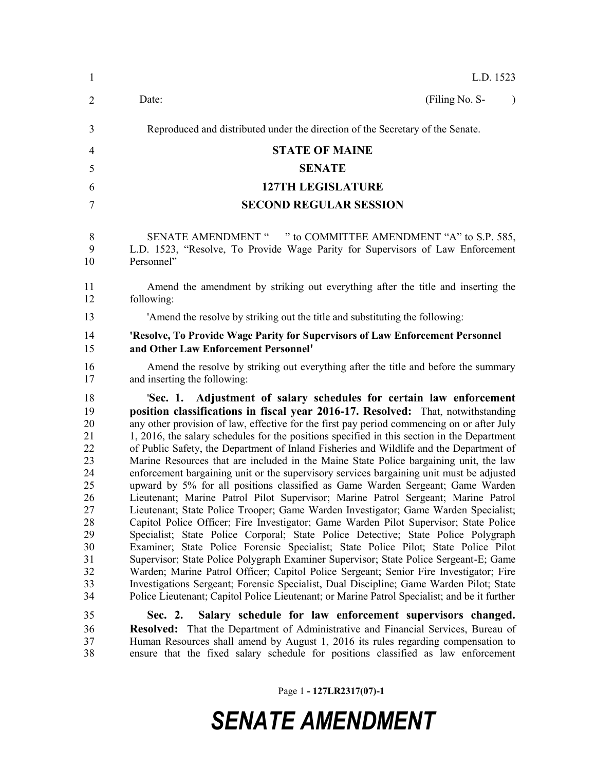| $\mathbf{1}$                                                                                       | L.D. 1523                                                                                                                                                                                                                                                                                                                                                                                                                                                                                                                                                                                                                                                                                                                                                                                                                                                                                                                                                                                                                                                                                                                                                                                                                                                                                                                                                                                                                                                                                                                                            |
|----------------------------------------------------------------------------------------------------|------------------------------------------------------------------------------------------------------------------------------------------------------------------------------------------------------------------------------------------------------------------------------------------------------------------------------------------------------------------------------------------------------------------------------------------------------------------------------------------------------------------------------------------------------------------------------------------------------------------------------------------------------------------------------------------------------------------------------------------------------------------------------------------------------------------------------------------------------------------------------------------------------------------------------------------------------------------------------------------------------------------------------------------------------------------------------------------------------------------------------------------------------------------------------------------------------------------------------------------------------------------------------------------------------------------------------------------------------------------------------------------------------------------------------------------------------------------------------------------------------------------------------------------------------|
| $\overline{2}$                                                                                     | (Filing No. S-<br>Date:                                                                                                                                                                                                                                                                                                                                                                                                                                                                                                                                                                                                                                                                                                                                                                                                                                                                                                                                                                                                                                                                                                                                                                                                                                                                                                                                                                                                                                                                                                                              |
| 3                                                                                                  | Reproduced and distributed under the direction of the Secretary of the Senate.                                                                                                                                                                                                                                                                                                                                                                                                                                                                                                                                                                                                                                                                                                                                                                                                                                                                                                                                                                                                                                                                                                                                                                                                                                                                                                                                                                                                                                                                       |
| 4                                                                                                  | <b>STATE OF MAINE</b>                                                                                                                                                                                                                                                                                                                                                                                                                                                                                                                                                                                                                                                                                                                                                                                                                                                                                                                                                                                                                                                                                                                                                                                                                                                                                                                                                                                                                                                                                                                                |
| 5                                                                                                  | <b>SENATE</b>                                                                                                                                                                                                                                                                                                                                                                                                                                                                                                                                                                                                                                                                                                                                                                                                                                                                                                                                                                                                                                                                                                                                                                                                                                                                                                                                                                                                                                                                                                                                        |
| 6                                                                                                  | <b>127TH LEGISLATURE</b>                                                                                                                                                                                                                                                                                                                                                                                                                                                                                                                                                                                                                                                                                                                                                                                                                                                                                                                                                                                                                                                                                                                                                                                                                                                                                                                                                                                                                                                                                                                             |
| 7                                                                                                  | <b>SECOND REGULAR SESSION</b>                                                                                                                                                                                                                                                                                                                                                                                                                                                                                                                                                                                                                                                                                                                                                                                                                                                                                                                                                                                                                                                                                                                                                                                                                                                                                                                                                                                                                                                                                                                        |
| 8<br>9<br>10                                                                                       | SENATE AMENDMENT " " to COMMITTEE AMENDMENT "A" to S.P. 585,<br>L.D. 1523, "Resolve, To Provide Wage Parity for Supervisors of Law Enforcement<br>Personnel"                                                                                                                                                                                                                                                                                                                                                                                                                                                                                                                                                                                                                                                                                                                                                                                                                                                                                                                                                                                                                                                                                                                                                                                                                                                                                                                                                                                         |
| 11<br>12                                                                                           | Amend the amendment by striking out everything after the title and inserting the<br>following:                                                                                                                                                                                                                                                                                                                                                                                                                                                                                                                                                                                                                                                                                                                                                                                                                                                                                                                                                                                                                                                                                                                                                                                                                                                                                                                                                                                                                                                       |
| 13                                                                                                 | 'Amend the resolve by striking out the title and substituting the following:                                                                                                                                                                                                                                                                                                                                                                                                                                                                                                                                                                                                                                                                                                                                                                                                                                                                                                                                                                                                                                                                                                                                                                                                                                                                                                                                                                                                                                                                         |
| 14<br>15                                                                                           | 'Resolve, To Provide Wage Parity for Supervisors of Law Enforcement Personnel<br>and Other Law Enforcement Personnel'                                                                                                                                                                                                                                                                                                                                                                                                                                                                                                                                                                                                                                                                                                                                                                                                                                                                                                                                                                                                                                                                                                                                                                                                                                                                                                                                                                                                                                |
| 16<br>17                                                                                           | Amend the resolve by striking out everything after the title and before the summary<br>and inserting the following:                                                                                                                                                                                                                                                                                                                                                                                                                                                                                                                                                                                                                                                                                                                                                                                                                                                                                                                                                                                                                                                                                                                                                                                                                                                                                                                                                                                                                                  |
| 18<br>19<br>20<br>21<br>22<br>23<br>24<br>25<br>26<br>27<br>28<br>29<br>30<br>31<br>32<br>33<br>34 | 'Sec. 1. Adjustment of salary schedules for certain law enforcement<br>position classifications in fiscal year 2016-17. Resolved: That, notwithstanding<br>any other provision of law, effective for the first pay period commencing on or after July<br>1, 2016, the salary schedules for the positions specified in this section in the Department<br>of Public Safety, the Department of Inland Fisheries and Wildlife and the Department of<br>Marine Resources that are included in the Maine State Police bargaining unit, the law<br>enforcement bargaining unit or the supervisory services bargaining unit must be adjusted<br>upward by 5% for all positions classified as Game Warden Sergeant; Game Warden<br>Lieutenant; Marine Patrol Pilot Supervisor; Marine Patrol Sergeant; Marine Patrol<br>Lieutenant; State Police Trooper; Game Warden Investigator; Game Warden Specialist;<br>Capitol Police Officer; Fire Investigator; Game Warden Pilot Supervisor; State Police<br>Specialist; State Police Corporal; State Police Detective; State Police Polygraph<br>Examiner; State Police Forensic Specialist; State Police Pilot; State Police Pilot<br>Supervisor; State Police Polygraph Examiner Supervisor; State Police Sergeant-E; Game<br>Warden; Marine Patrol Officer; Capitol Police Sergeant; Senior Fire Investigator; Fire<br>Investigations Sergeant; Forensic Specialist, Dual Discipline; Game Warden Pilot; State<br>Police Lieutenant; Capitol Police Lieutenant; or Marine Patrol Specialist; and be it further |
| 35<br>36<br>37<br>38                                                                               | Salary schedule for law enforcement supervisors changed.<br>Sec. 2.<br><b>Resolved:</b> That the Department of Administrative and Financial Services, Bureau of<br>Human Resources shall amend by August 1, 2016 its rules regarding compensation to<br>ensure that the fixed salary schedule for positions classified as law enforcement                                                                                                                                                                                                                                                                                                                                                                                                                                                                                                                                                                                                                                                                                                                                                                                                                                                                                                                                                                                                                                                                                                                                                                                                            |

Page 1 **- 127LR2317(07)-1**

## *SENATE AMENDMENT*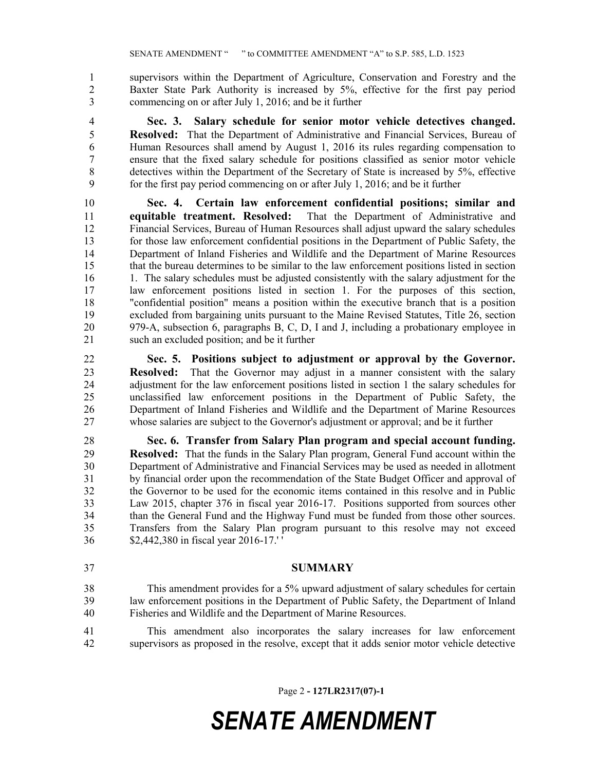supervisors within the Department of Agriculture, Conservation and Forestry and the Baxter State Park Authority is increased by 5%, effective for the first pay period commencing on or after July 1, 2016; and be it further

 **Sec. 3. Salary schedule for senior motor vehicle detectives changed. Resolved:** That the Department of Administrative and Financial Services, Bureau of Human Resources shall amend by August 1, 2016 its rules regarding compensation to ensure that the fixed salary schedule for positions classified as senior motor vehicle detectives within the Department of the Secretary of State is increased by 5%, effective for the first pay period commencing on or after July 1, 2016; and be it further

 **Sec. 4. Certain law enforcement confidential positions; similar and equitable treatment. Resolved:** That the Department of Administrative and Financial Services, Bureau of Human Resources shall adjust upward the salary schedules for those law enforcement confidential positions in the Department of Public Safety, the Department of Inland Fisheries and Wildlife and the Department of Marine Resources that the bureau determines to be similar to the law enforcement positions listed in section 16 1. The salary schedules must be adjusted consistently with the salary adjustment for the law enforcement positions listed in section 1. For the purposes of this section, "confidential position" means a position within the executive branch that is a position excluded from bargaining units pursuant to the Maine Revised Statutes, Title 26, section 979-A, subsection 6, paragraphs B, C, D, I and J, including a probationary employee in such an excluded position; and be it further

 **Sec. 5. Positions subject to adjustment or approval by the Governor. Resolved:** That the Governor may adjust in a manner consistent with the salary adjustment for the law enforcement positions listed in section 1 the salary schedules for unclassified law enforcement positions in the Department of Public Safety, the Department of Inland Fisheries and Wildlife and the Department of Marine Resources whose salaries are subject to the Governor's adjustment or approval; and be it further

 **Sec. 6. Transfer from Salary Plan program and special account funding. Resolved:** That the funds in the Salary Plan program, General Fund account within the Department of Administrative and Financial Services may be used as needed in allotment by financial order upon the recommendation of the State Budget Officer and approval of the Governor to be used for the economic items contained in this resolve and in Public Law 2015, chapter 376 in fiscal year 2016-17. Positions supported from sources other than the General Fund and the Highway Fund must be funded from those other sources. Transfers from the Salary Plan program pursuant to this resolve may not exceed \$2,442,380 in fiscal year 2016-17.' '

- **SUMMARY**
- This amendment provides for a 5% upward adjustment of salary schedules for certain law enforcement positions in the Department of Public Safety, the Department of Inland Fisheries and Wildlife and the Department of Marine Resources.
- This amendment also incorporates the salary increases for law enforcement supervisors as proposed in the resolve, except that it adds senior motor vehicle detective

Page 2 **- 127LR2317(07)-1**

## *SENATE AMENDMENT*